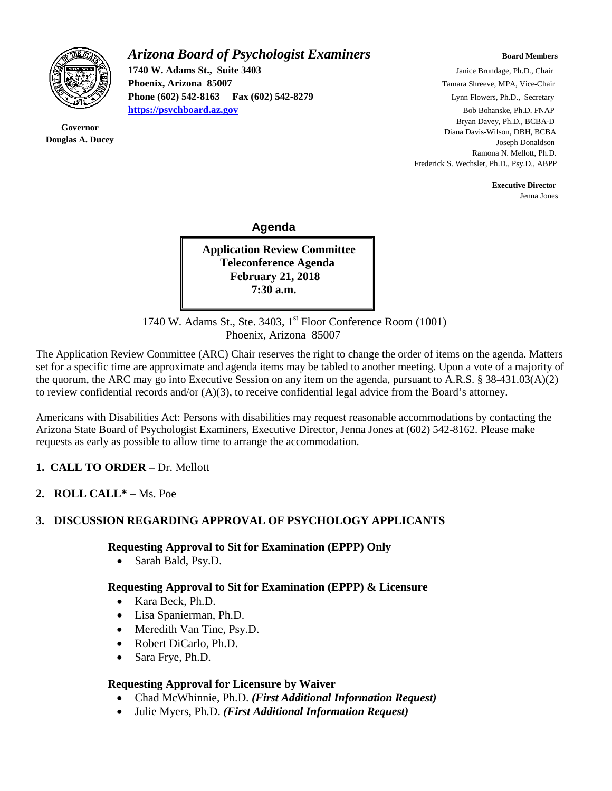

**Governor Douglas A. Ducey**

# *Arizona Board of Psychologist Examiners* **Board Members Board Members**

**Phoenix, Arizona 85007 Tamara Shreeve, MPA, Vice-Chair Phoenix, Arizona 85007 Tamara Shreeve, MPA, Vice-Chair Phone (602) 542-8163 Fax (602) 542-8279** Lynn Flowers, Ph.D., Secretary **[https://psychboard.az.gov](https://psychboard.az.gov/)** Bob Bohanske, Ph.D. FNAP

**1740 W. Adams St., Suite 3403** Janice Brundage, Ph.D., Chair Bryan Davey, Ph.D., BCBA-D Diana Davis-Wilson, DBH, BCBA Joseph Donaldson Ramona N. Mellott, Ph.D. Frederick S. Wechsler, Ph.D., Psy.D., ABPP

 **Executive Director**

Jenna Jones

#### **Agenda**

**Application Review Committee Teleconference Agenda February 21, 2018 7:30 a.m.**

1740 W. Adams St., Ste. 3403, 1<sup>st</sup> Floor Conference Room (1001) Phoenix, Arizona 85007

The Application Review Committee (ARC) Chair reserves the right to change the order of items on the agenda. Matters set for a specific time are approximate and agenda items may be tabled to another meeting. Upon a vote of a majority of the quorum, the ARC may go into Executive Session on any item on the agenda, pursuant to A.R.S. § 38-431.03(A)(2) to review confidential records and/or (A)(3), to receive confidential legal advice from the Board's attorney.

Americans with Disabilities Act: Persons with disabilities may request reasonable accommodations by contacting the Arizona State Board of Psychologist Examiners, Executive Director, Jenna Jones at (602) 542-8162. Please make requests as early as possible to allow time to arrange the accommodation.

#### **1. CALL TO ORDER –** Dr. Mellott

**2. ROLL CALL\* –** Ms. Poe

#### **3. DISCUSSION REGARDING APPROVAL OF PSYCHOLOGY APPLICANTS**

#### **Requesting Approval to Sit for Examination (EPPP) Only**

• Sarah Bald, Psy.D.

#### **Requesting Approval to Sit for Examination (EPPP) & Licensure**

- Kara Beck, Ph.D.
- Lisa Spanierman, Ph.D.
- Meredith Van Tine, Psy.D.
- Robert DiCarlo, Ph.D.
- Sara Frye, Ph.D.

#### **Requesting Approval for Licensure by Waiver**

- Chad McWhinnie, Ph.D. *(First Additional Information Request)*
- Julie Myers, Ph.D. *(First Additional Information Request)*